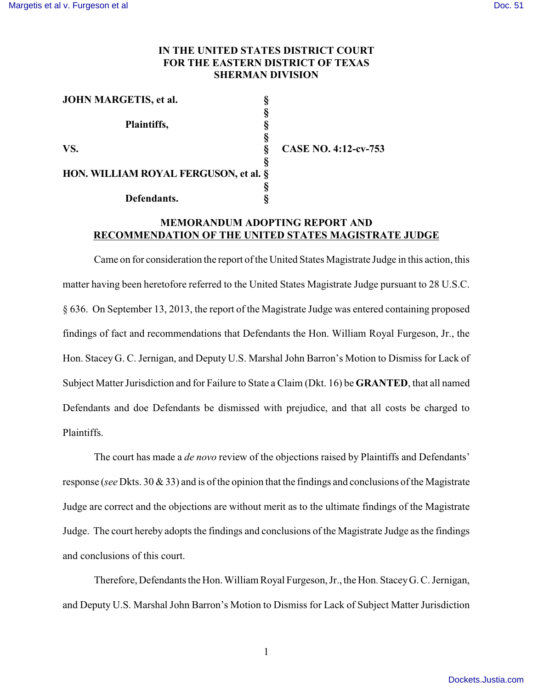## **IN THE UNITED STATES DISTRICT COURT FOR THE EASTERN DISTRICT OF TEXAS SHERMAN DIVISION**

| <b>JOHN MARGETIS, et al.</b>          |                        |
|---------------------------------------|------------------------|
|                                       |                        |
| Plaintiffs,                           |                        |
|                                       |                        |
| VS.                                   | $\mathsf{C}\mathsf{A}$ |
|                                       |                        |
| HON. WILLIAM ROYAL FERGUSON, et al. § |                        |
|                                       |                        |
| Defendants.                           |                        |

**VS. § CASE NO. 4:12-cv-753**

## **MEMORANDUM ADOPTING REPORT AND RECOMMENDATION OF THE UNITED STATES MAGISTRATE JUDGE**

Came on for consideration the report of the United States Magistrate Judge in this action, this matter having been heretofore referred to the United States Magistrate Judge pursuant to 28 U.S.C. § 636. On September 13, 2013, the report of the Magistrate Judge was entered containing proposed findings of fact and recommendations that Defendants the Hon. William Royal Furgeson, Jr., the Hon. Stacey G. C. Jernigan, and Deputy U.S. Marshal John Barron's Motion to Dismiss for Lack of Subject Matter Jurisdiction and for Failure to State a Claim (Dkt. 16) be **GRANTED**, that all named Defendants and doe Defendants be dismissed with prejudice, and that all costs be charged to Plaintiffs.

The court has made a *de novo* review of the objections raised by Plaintiffs and Defendants' response (*see* Dkts. 30 & 33) and is of the opinion that the findings and conclusions of the Magistrate Judge are correct and the objections are without merit as to the ultimate findings of the Magistrate Judge. The court hereby adopts the findings and conclusions of the Magistrate Judge as the findings and conclusions of this court.

Therefore, Defendants the Hon. William Royal Furgeson, Jr., the Hon. StaceyG. C. Jernigan, and Deputy U.S. Marshal John Barron's Motion to Dismiss for Lack of Subject Matter Jurisdiction